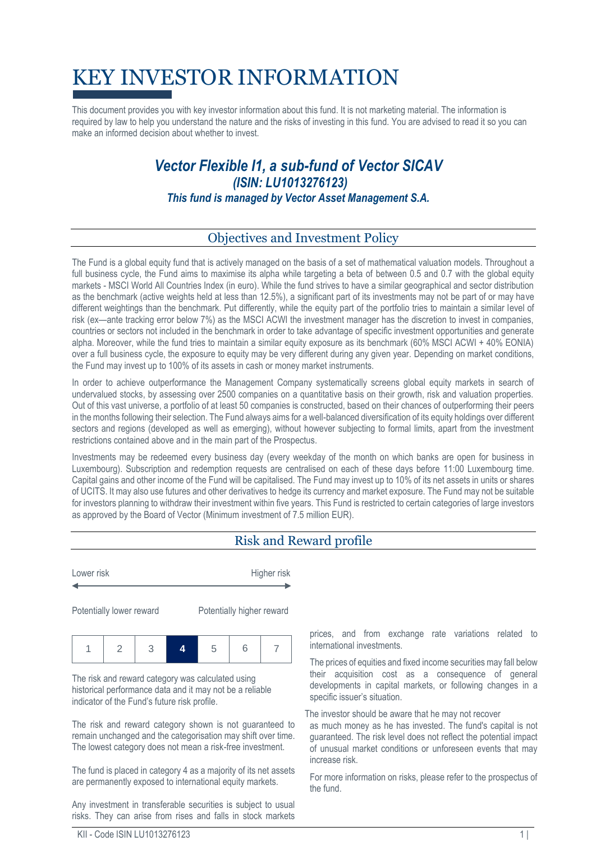# KEY INVESTOR INFORMATION

This document provides you with key investor information about this fund. It is not marketing material. The information is required by law to help you understand the nature and the risks of investing in this fund. You are advised to read it so you can make an informed decision about whether to invest.

## *Vector Flexible I1, a sub-fund of Vector SICAV (ISIN: LU1013276123) This fund is managed by Vector Asset Management S.A.*

#### Objectives and Investment Policy

The Fund is a global equity fund that is actively managed on the basis of a set of mathematical valuation models. Throughout a full business cycle, the Fund aims to maximise its alpha while targeting a beta of between 0.5 and 0.7 with the global equity markets - MSCI World All Countries Index (in euro). While the fund strives to have a similar geographical and sector distribution as the benchmark (active weights held at less than 12.5%), a significant part of its investments may not be part of or may have different weightings than the benchmark. Put differently, while the equity part of the portfolio tries to maintain a similar level of risk (ex—ante tracking error below 7%) as the MSCI ACWI the investment manager has the discretion to invest in companies, countries or sectors not included in the benchmark in order to take advantage of specific investment opportunities and generate alpha. Moreover, while the fund tries to maintain a similar equity exposure as its benchmark (60% MSCI ACWI + 40% EONIA) over a full business cycle, the exposure to equity may be very different during any given year. Depending on market conditions, the Fund may invest up to 100% of its assets in cash or money market instruments.

In order to achieve outperformance the Management Company systematically screens global equity markets in search of undervalued stocks, by assessing over 2500 companies on a quantitative basis on their growth, risk and valuation properties. Out of this vast universe, a portfolio of at least 50 companies is constructed, based on their chances of outperforming their peers in the months following their selection. The Fund always aims for a well-balanced diversification of its equity holdings over different sectors and regions (developed as well as emerging), without however subjecting to formal limits, apart from the investment restrictions contained above and in the main part of the Prospectus.

Investments may be redeemed every business day (every weekday of the month on which banks are open for business in Luxembourg). Subscription and redemption requests are centralised on each of these days before 11:00 Luxembourg time. Capital gains and other income of the Fund will be capitalised. The Fund may invest up to 10% of its net assets in units or shares of UCITS. It may also use futures and other derivatives to hedge its currency and market exposure. The Fund may not be suitable for investors planning to withdraw their investment within five years. This Fund is restricted to certain categories of large investors as approved by the Board of Vector (Minimum investment of 7.5 million EUR).

### Risk and Reward profile

Lower risk **Higher risk** 

Potentially lower reward Potentially higher reward

|--|--|--|

The risk and reward category was calculated using historical performance data and it may not be a reliable indicator of the Fund's future risk profile.

The risk and reward category shown is not guaranteed to remain unchanged and the categorisation may shift over time. The lowest category does not mean a risk-free investment.

The fund is placed in category 4 as a majority of its net assets are permanently exposed to international equity markets.

Any investment in transferable securities is subject to usual risks. They can arise from rises and falls in stock markets prices, and from exchange rate variations related to international investments.

The prices of equities and fixed income securities may fall below their acquisition cost as a consequence of general developments in capital markets, or following changes in a specific issuer's situation.

The investor should be aware that he may not recover

as much money as he has invested. The fund's capital is not guaranteed. The risk level does not reflect the potential impact of unusual market conditions or unforeseen events that may increase risk.

For more information on risks, please refer to the prospectus of the fund.